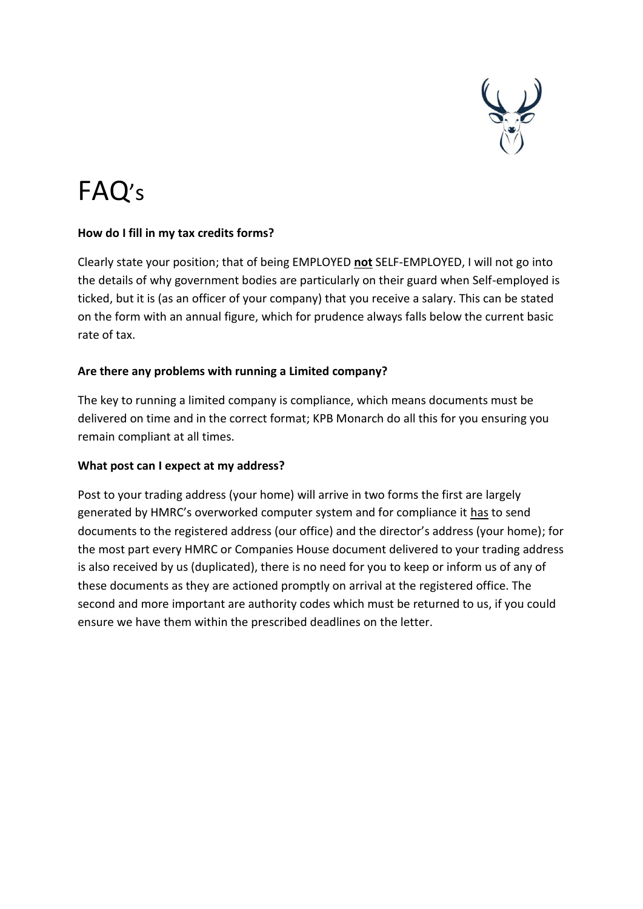

# FAQ's

# **How do I fill in my tax credits forms?**

Clearly state your position; that of being EMPLOYED **not** SELF-EMPLOYED, I will not go into the details of why government bodies are particularly on their guard when Self-employed is ticked, but it is (as an officer of your company) that you receive a salary. This can be stated on the form with an annual figure, which for prudence always falls below the current basic rate of tax.

# **Are there any problems with running a Limited company?**

The key to running a limited company is compliance, which means documents must be delivered on time and in the correct format; KPB Monarch do all this for you ensuring you remain compliant at all times.

#### **What post can I expect at my address?**

Post to your trading address (your home) will arrive in two forms the first are largely generated by HMRC's overworked computer system and for compliance it has to send documents to the registered address (our office) and the director's address (your home); for the most part every HMRC or Companies House document delivered to your trading address is also received by us (duplicated), there is no need for you to keep or inform us of any of these documents as they are actioned promptly on arrival at the registered office. The second and more important are authority codes which must be returned to us, if you could ensure we have them within the prescribed deadlines on the letter.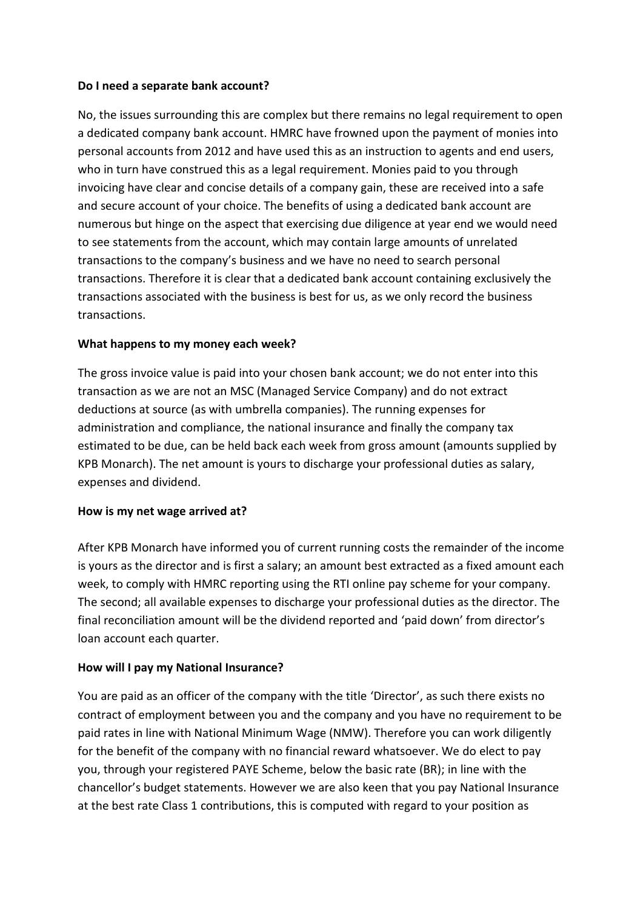#### **Do I need a separate bank account?**

No, the issues surrounding this are complex but there remains no legal requirement to open a dedicated company bank account. HMRC have frowned upon the payment of monies into personal accounts from 2012 and have used this as an instruction to agents and end users, who in turn have construed this as a legal requirement. Monies paid to you through invoicing have clear and concise details of a company gain, these are received into a safe and secure account of your choice. The benefits of using a dedicated bank account are numerous but hinge on the aspect that exercising due diligence at year end we would need to see statements from the account, which may contain large amounts of unrelated transactions to the company's business and we have no need to search personal transactions. Therefore it is clear that a dedicated bank account containing exclusively the transactions associated with the business is best for us, as we only record the business transactions.

#### **What happens to my money each week?**

The gross invoice value is paid into your chosen bank account; we do not enter into this transaction as we are not an MSC (Managed Service Company) and do not extract deductions at source (as with umbrella companies). The running expenses for administration and compliance, the national insurance and finally the company tax estimated to be due, can be held back each week from gross amount (amounts supplied by KPB Monarch). The net amount is yours to discharge your professional duties as salary, expenses and dividend.

#### **How is my net wage arrived at?**

After KPB Monarch have informed you of current running costs the remainder of the income is yours as the director and is first a salary; an amount best extracted as a fixed amount each week, to comply with HMRC reporting using the RTI online pay scheme for your company. The second; all available expenses to discharge your professional duties as the director. The final reconciliation amount will be the dividend reported and 'paid down' from director's loan account each quarter.

#### **How will I pay my National Insurance?**

You are paid as an officer of the company with the title 'Director', as such there exists no contract of employment between you and the company and you have no requirement to be paid rates in line with National Minimum Wage (NMW). Therefore you can work diligently for the benefit of the company with no financial reward whatsoever. We do elect to pay you, through your registered PAYE Scheme, below the basic rate (BR); in line with the chancellor's budget statements. However we are also keen that you pay National Insurance at the best rate Class 1 contributions, this is computed with regard to your position as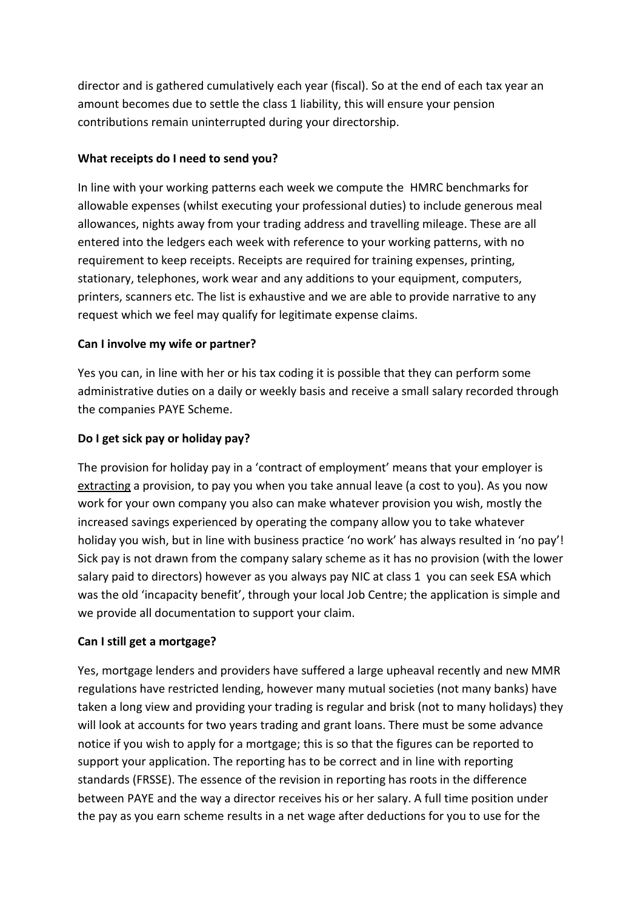director and is gathered cumulatively each year (fiscal). So at the end of each tax year an amount becomes due to settle the class 1 liability, this will ensure your pension contributions remain uninterrupted during your directorship.

## **What receipts do I need to send you?**

In line with your working patterns each week we compute the HMRC benchmarks for allowable expenses (whilst executing your professional duties) to include generous meal allowances, nights away from your trading address and travelling mileage. These are all entered into the ledgers each week with reference to your working patterns, with no requirement to keep receipts. Receipts are required for training expenses, printing, stationary, telephones, work wear and any additions to your equipment, computers, printers, scanners etc. The list is exhaustive and we are able to provide narrative to any request which we feel may qualify for legitimate expense claims.

# **Can I involve my wife or partner?**

Yes you can, in line with her or his tax coding it is possible that they can perform some administrative duties on a daily or weekly basis and receive a small salary recorded through the companies PAYE Scheme.

# **Do I get sick pay or holiday pay?**

The provision for holiday pay in a 'contract of employment' means that your employer is extracting a provision, to pay you when you take annual leave (a cost to you). As you now work for your own company you also can make whatever provision you wish, mostly the increased savings experienced by operating the company allow you to take whatever holiday you wish, but in line with business practice 'no work' has always resulted in 'no pay'! Sick pay is not drawn from the company salary scheme as it has no provision (with the lower salary paid to directors) however as you always pay NIC at class 1 you can seek ESA which was the old 'incapacity benefit', through your local Job Centre; the application is simple and we provide all documentation to support your claim.

# **Can I still get a mortgage?**

Yes, mortgage lenders and providers have suffered a large upheaval recently and new MMR regulations have restricted lending, however many mutual societies (not many banks) have taken a long view and providing your trading is regular and brisk (not to many holidays) they will look at accounts for two years trading and grant loans. There must be some advance notice if you wish to apply for a mortgage; this is so that the figures can be reported to support your application. The reporting has to be correct and in line with reporting standards (FRSSE). The essence of the revision in reporting has roots in the difference between PAYE and the way a director receives his or her salary. A full time position under the pay as you earn scheme results in a net wage after deductions for you to use for the